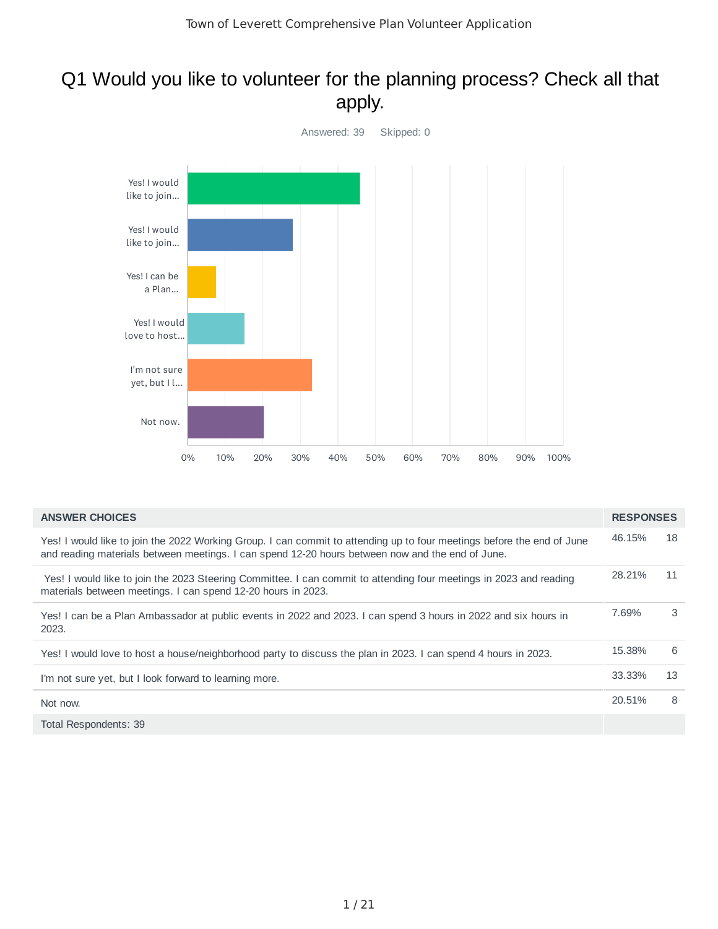## Q1 Would you like to volunteer for the planning process? Check all that apply.



| <b>ANSWER CHOICES</b>                                                                                                                                                                                                      | <b>RESPONSES</b> |    |
|----------------------------------------------------------------------------------------------------------------------------------------------------------------------------------------------------------------------------|------------------|----|
| Yes! I would like to join the 2022 Working Group. I can commit to attending up to four meetings before the end of June<br>and reading materials between meetings. I can spend 12-20 hours between now and the end of June. | 46.15%           | 18 |
| Yes! I would like to join the 2023 Steering Committee. I can commit to attending four meetings in 2023 and reading<br>materials between meetings. I can spend 12-20 hours in 2023.                                         | 28.21%           | 11 |
| Yes! I can be a Plan Ambassador at public events in 2022 and 2023. I can spend 3 hours in 2022 and six hours in<br>2023.                                                                                                   | 7.69%            | 3  |
| Yes! I would love to host a house/neighborhood party to discuss the plan in 2023. I can spend 4 hours in 2023.                                                                                                             | 15.38%           | 6  |
| I'm not sure yet, but I look forward to learning more.                                                                                                                                                                     | 33.33%           | 13 |
| Not now.                                                                                                                                                                                                                   | 20.51%           | 8  |
| Total Respondents: 39                                                                                                                                                                                                      |                  |    |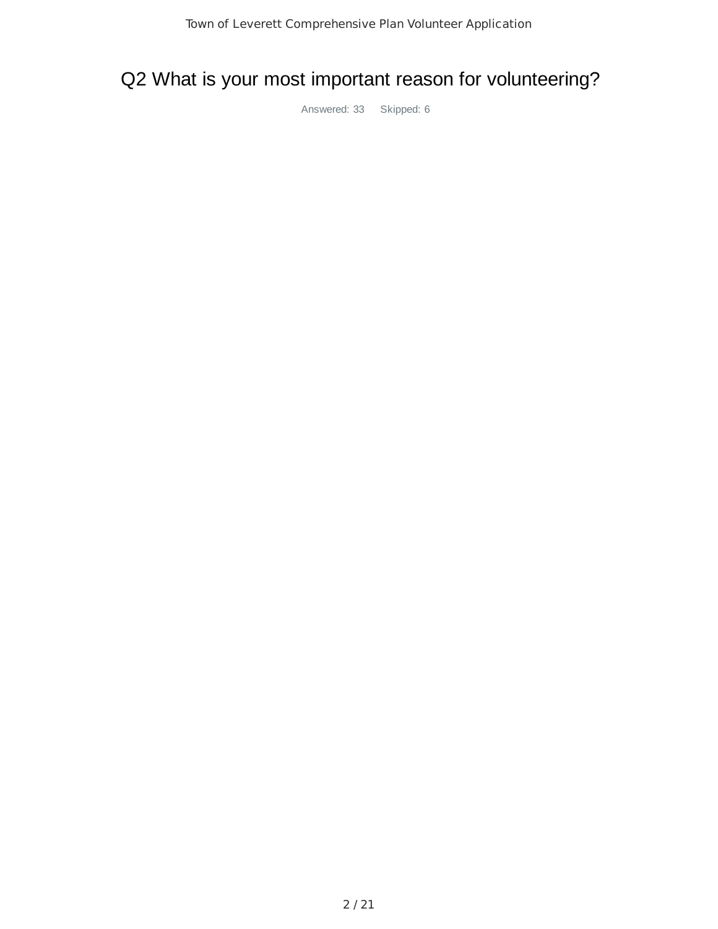# Q2 What is your most important reason for volunteering?

Answered: 33 Skipped: 6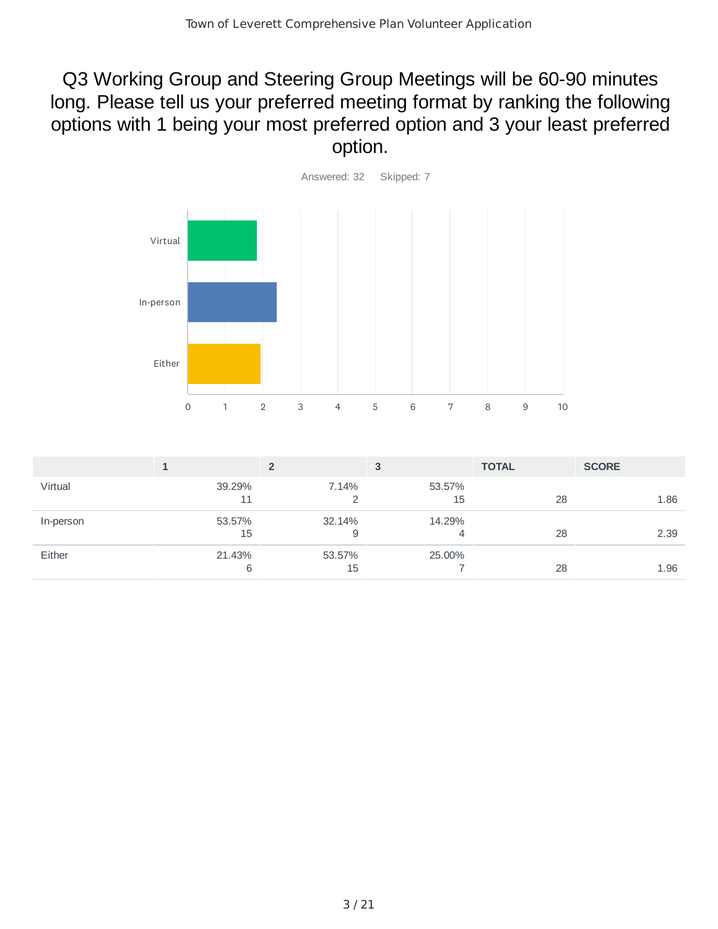### Q3 Working Group and Steering Group Meetings will be 60-90 minutes long. Please tell us your preferred meeting format by ranking the following options with 1 being your most preferred option and 3 your least preferred option.



|           |              |              |              | <b>TOTAL</b> | <b>SCORE</b> |
|-----------|--------------|--------------|--------------|--------------|--------------|
| Virtual   | 39.29%<br>11 | 7.14%        | 53.57%<br>15 | 28           | 1.86         |
| In-person | 53.57%<br>15 | 32.14%<br>9  | 14.29%       | 28           | 2.39         |
| Either    | 21.43%<br>6  | 53.57%<br>15 | 25.00%       | 28           | 1.96         |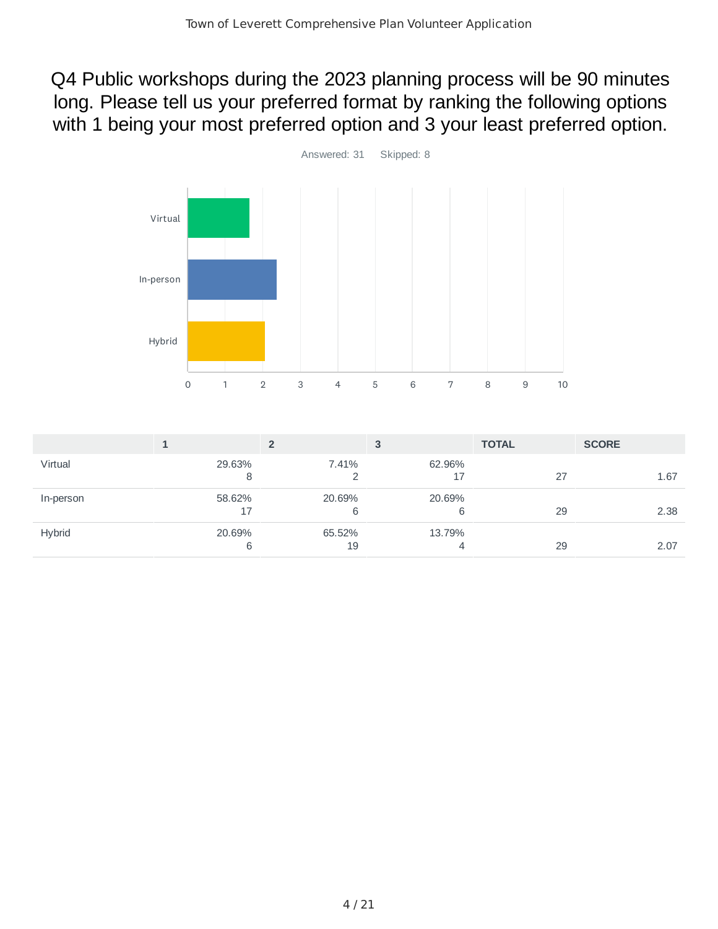Q4 Public workshops during the 2023 planning process will be 90 minutes long. Please tell us your preferred format by ranking the following options with 1 being your most preferred option and 3 your least preferred option.



|               |              |              |             | <b>TOTAL</b> | <b>SCORE</b> |
|---------------|--------------|--------------|-------------|--------------|--------------|
| Virtual       | 29.63%       | 7.41%        | 62.96%      | 27           | 1.67         |
| In-person     | 58.62%<br>17 | 20.69%<br>6  | 20.69%<br>6 | 29           | 2.38         |
| <b>Hybrid</b> | 20.69%<br>6  | 65.52%<br>19 | 13.79%<br>4 | 29           | 2.07         |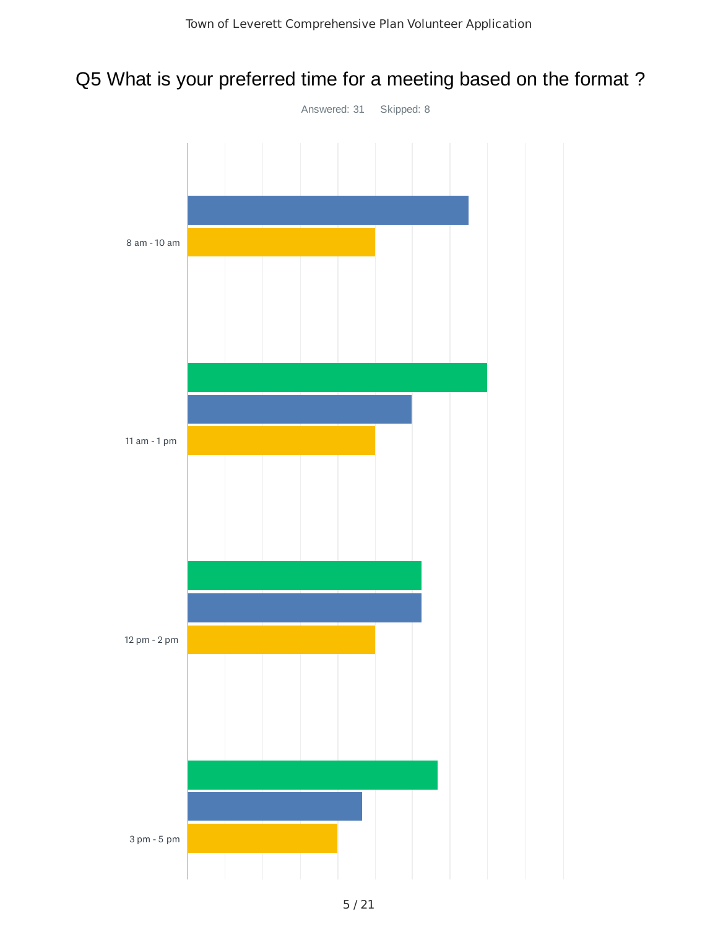# Q5 What is your preferred time for a meeting based on the format ?

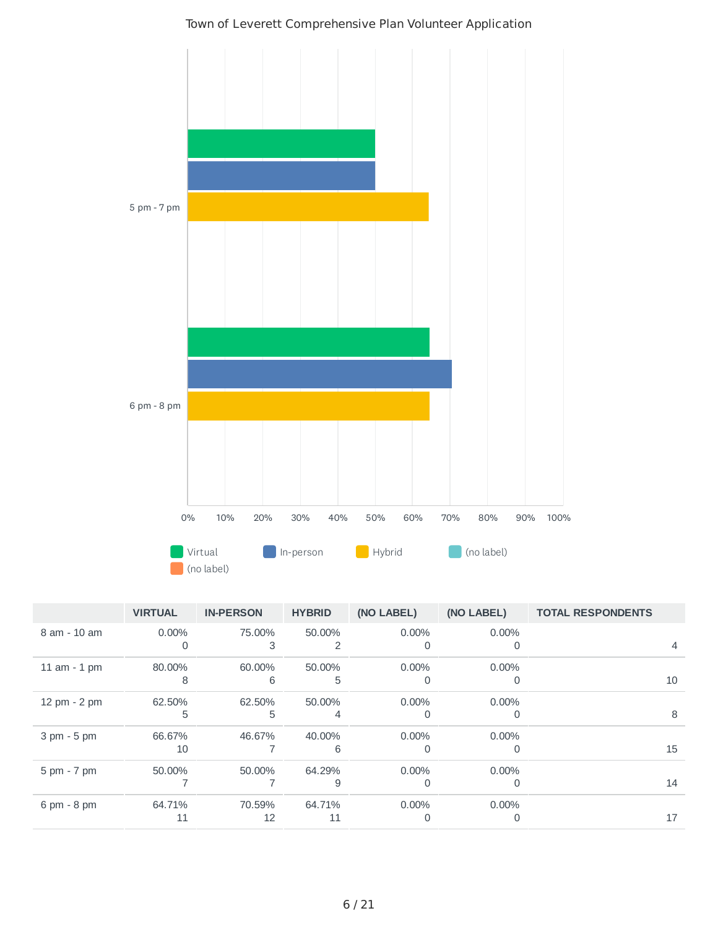

| Town of Leverett Comprehensive Plan Volunteer Application |  |
|-----------------------------------------------------------|--|
|-----------------------------------------------------------|--|

|                               | <b>VIRTUAL</b> | <b>IN-PERSON</b> | <b>HYBRID</b> | (NO LABEL)    | (NO LABEL)    | <b>TOTAL RESPONDENTS</b> |
|-------------------------------|----------------|------------------|---------------|---------------|---------------|--------------------------|
| 8 am - 10 am                  | $0.00\%$<br>0  | 75.00%<br>3      | 50.00%<br>2   | $0.00\%$      | $0.00\%$<br>0 | 4                        |
| $11$ am $-1$ pm               | 80.00%<br>8    | 60.00%<br>6      | 50.00%<br>5   | $0.00\%$      | $0.00\%$<br>0 | 10                       |
| 12 pm - 2 pm                  | 62.50%<br>5    | 62.50%<br>5      | 50.00%<br>4   | $0.00\%$<br>0 | $0.00\%$<br>0 | 8                        |
| $3 \text{ pm} - 5 \text{ pm}$ | 66.67%<br>10   | 46.67%           | 40.00%<br>6   | $0.00\%$<br>O | $0.00\%$<br>0 | 15                       |
| $5 \text{ pm} - 7 \text{ pm}$ | 50.00%         | 50.00%           | 64.29%<br>9   | $0.00\%$      | $0.00\%$<br>0 | 14                       |
| $6 \text{ pm} - 8 \text{ pm}$ | 64.71%<br>11   | 70.59%<br>12     | 64.71%<br>11  | $0.00\%$<br>0 | $0.00\%$<br>0 | 17                       |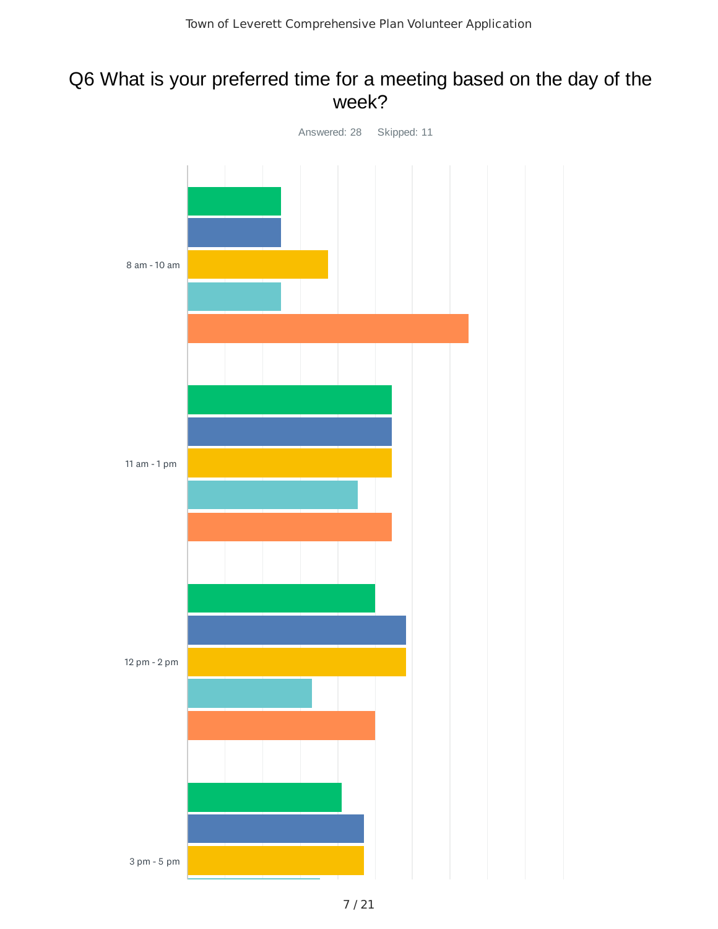### Q6 What is your preferred time for a meeting based on the day of the week?

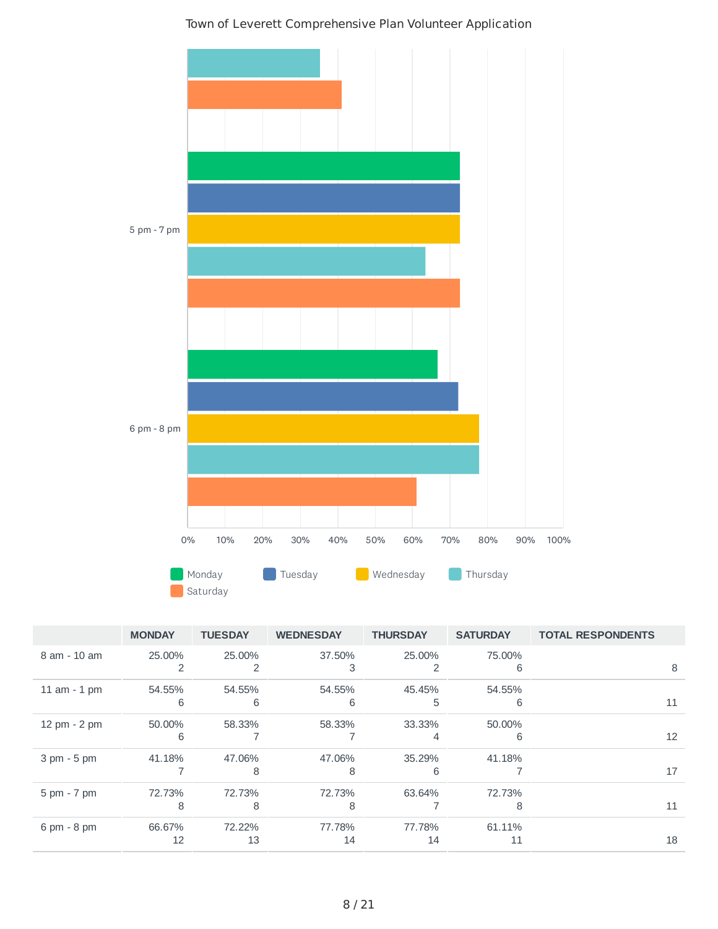

|                               | <b>MONDAY</b> | <b>TUESDAY</b> | <b>WEDNESDAY</b> | <b>THURSDAY</b> | <b>SATURDAY</b> | <b>TOTAL RESPONDENTS</b> |
|-------------------------------|---------------|----------------|------------------|-----------------|-----------------|--------------------------|
| 8 am - 10 am                  | 25,00%        | 25.00%         | 37.50%           | 25.00%          | 75.00%          |                          |
|                               |               |                |                  |                 | 6               | 8                        |
| $11$ am $-1$ pm               | 54.55%        | 54.55%         | 54.55%           | 45.45%          | 54.55%          |                          |
|                               | 6             | 6              | 6                | 5               | 6               | 11                       |
| 12 pm - 2 pm                  | 50,00%        | 58.33%         | 58.33%           | 33.33%          | 50.00%          |                          |
|                               | 6             |                |                  | 4               | 6               | 12                       |
| $3 \text{ pm} - 5 \text{ pm}$ | 41.18%        | 47.06%         | 47.06%           | 35.29%          | 41.18%          |                          |
|                               |               | 8              | 8                | 6               |                 | 17                       |
| 5 pm - 7 pm                   | 72.73%        | 72.73%         | 72.73%           | 63.64%          | 72.73%          |                          |
|                               | 8             | 8              | 8                |                 |                 | 11                       |
| $6 \text{ pm} - 8 \text{ pm}$ | 66.67%        | 72.22%         | 77.78%           | 77.78%          | 61.11%          |                          |
|                               | 12            | 13             | 14               | 14              | 11              | 18                       |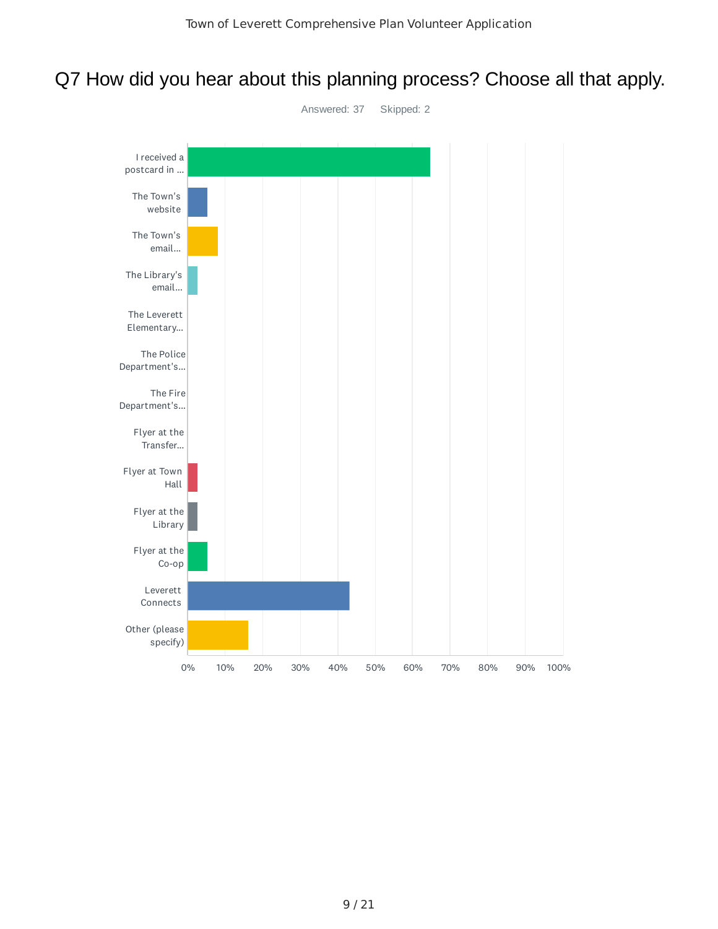# Q7 How did you hear about this planning process? Choose all that apply.

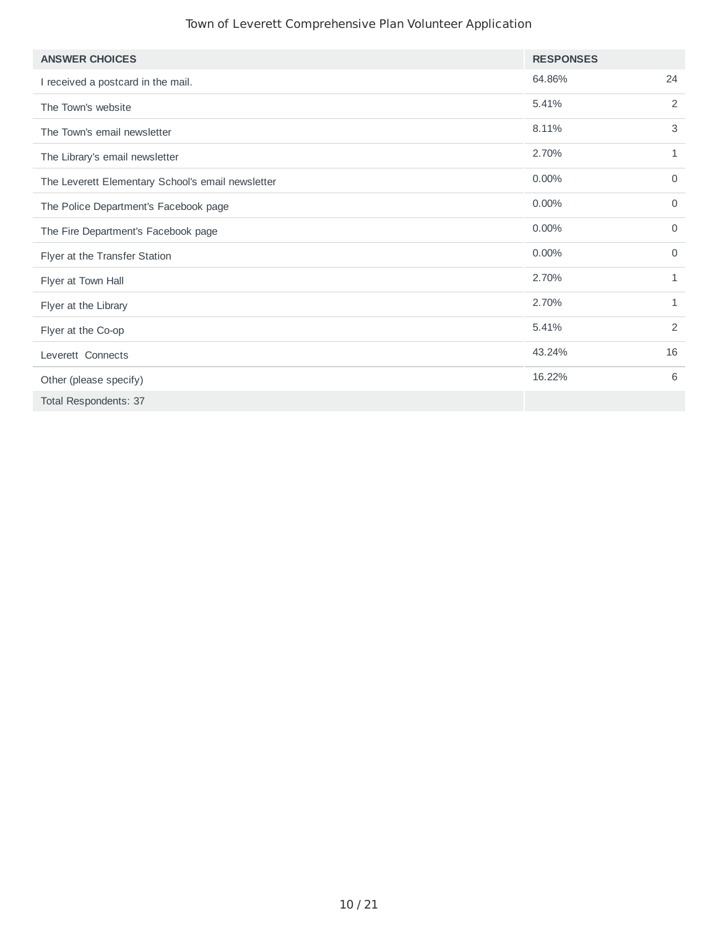| <b>ANSWER CHOICES</b>                             | <b>RESPONSES</b> |              |
|---------------------------------------------------|------------------|--------------|
| I received a postcard in the mail.                | 64.86%           | 24           |
| The Town's website                                | 5.41%            | 2            |
| The Town's email newsletter                       | 8.11%            | 3            |
| The Library's email newsletter                    | 2.70%            | 1            |
| The Leverett Elementary School's email newsletter | $0.00\%$         | $\mathbf 0$  |
| The Police Department's Facebook page             | 0.00%            | $\mathbf 0$  |
| The Fire Department's Facebook page               | 0.00%            | $\mathbf 0$  |
| Flyer at the Transfer Station                     | 0.00%            | $\mathbf 0$  |
| Flyer at Town Hall                                | 2.70%            | $\mathbf{1}$ |
| Flyer at the Library                              | 2.70%            | $\mathbf{1}$ |
| Flyer at the Co-op                                | 5.41%            | 2            |
| Leverett Connects                                 | 43.24%           | 16           |
| Other (please specify)                            | 16.22%           | 6            |
| Total Respondents: 37                             |                  |              |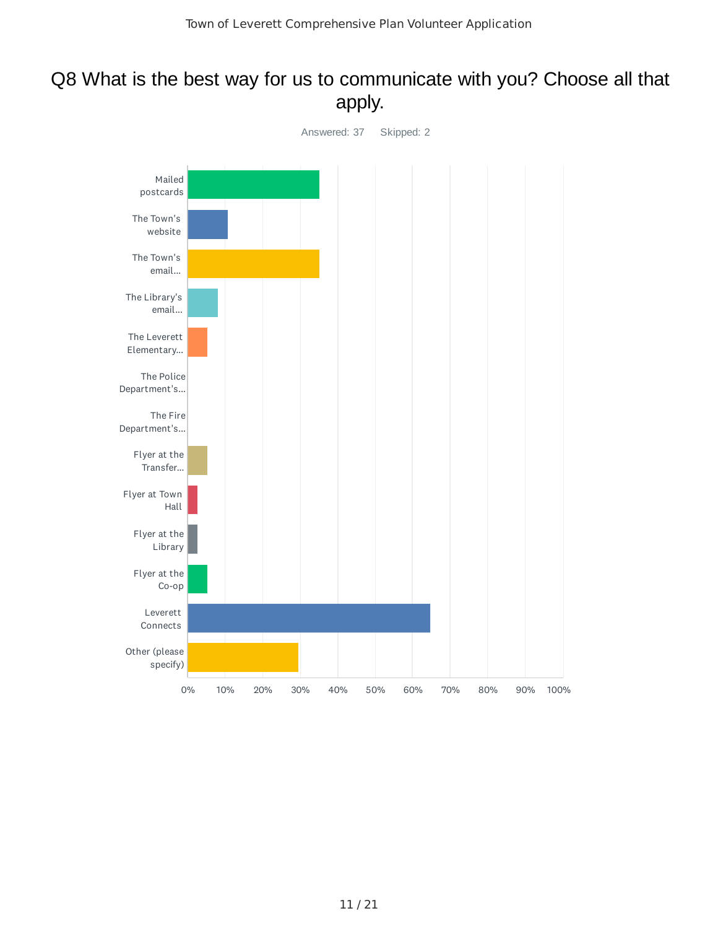### Q8 What is the best way for us to communicate with you? Choose all that apply.

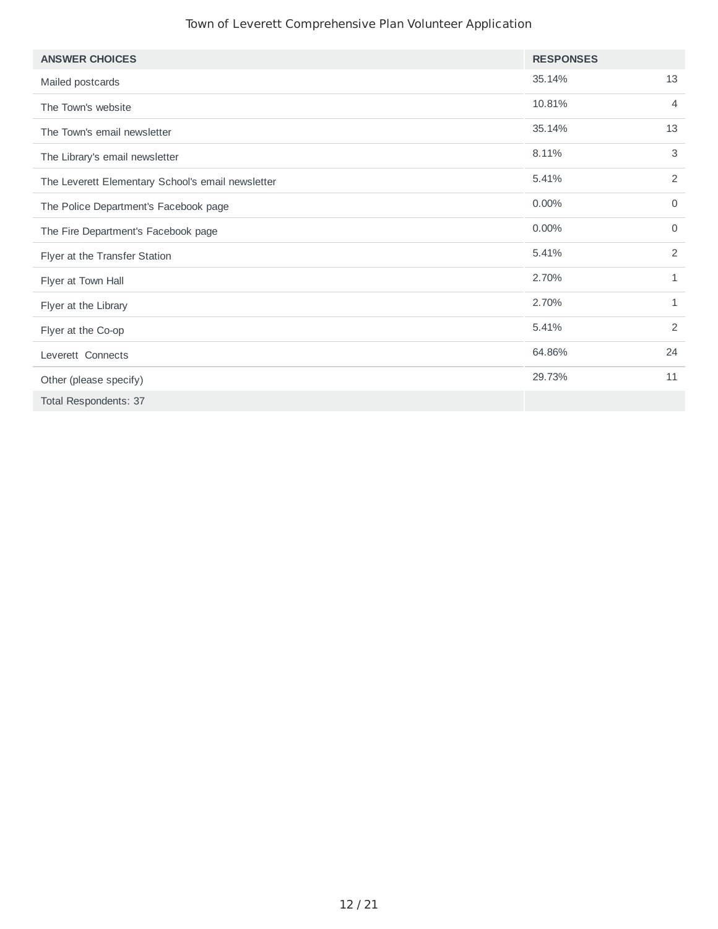| <b>ANSWER CHOICES</b>                             | <b>RESPONSES</b> |              |
|---------------------------------------------------|------------------|--------------|
| Mailed postcards                                  | 35.14%           | 13           |
| The Town's website                                | 10.81%           | 4            |
| The Town's email newsletter                       | 35.14%           | 13           |
| The Library's email newsletter                    | 8.11%            | 3            |
| The Leverett Elementary School's email newsletter | 5.41%            | 2            |
| The Police Department's Facebook page             | 0.00%            | $\mathbf 0$  |
| The Fire Department's Facebook page               | 0.00%            | $\mathbf 0$  |
| Flyer at the Transfer Station                     | 5.41%            | 2            |
| Flyer at Town Hall                                | 2.70%            | $\mathbf{1}$ |
| Flyer at the Library                              | 2.70%            | $\mathbf{1}$ |
| Flyer at the Co-op                                | 5.41%            | 2            |
| Leverett Connects                                 | 64.86%           | 24           |
| Other (please specify)                            | 29.73%           | 11           |
| Total Respondents: 37                             |                  |              |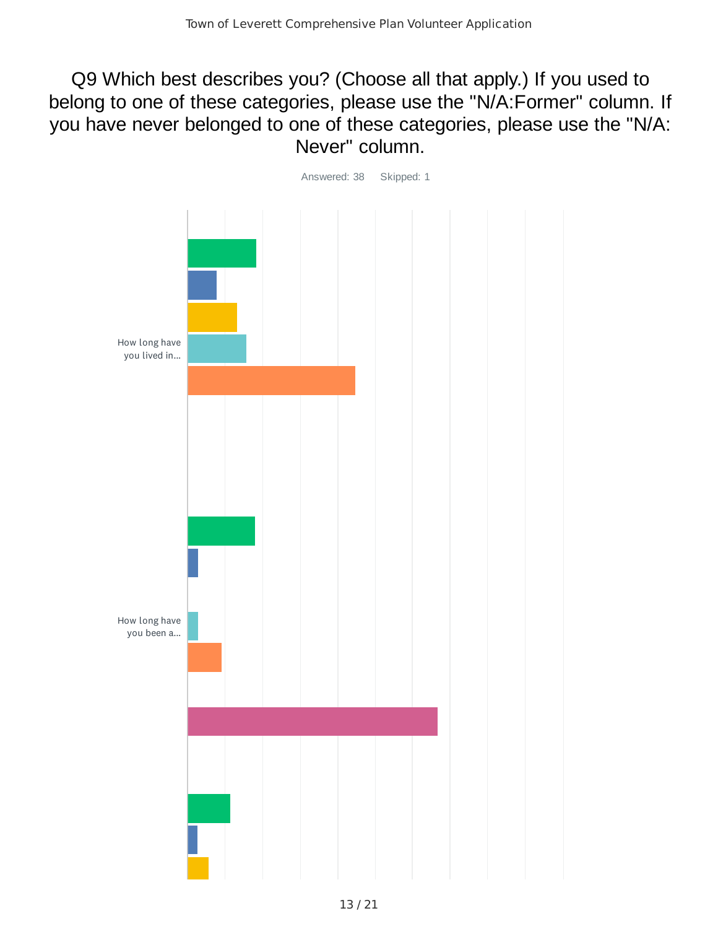Q9 Which best describes you? (Choose all that apply.) If you used to belong to one of these categories, please use the "N/A:Former" column. If you have never belonged to one of these categories, please use the "N/A: Never" column.

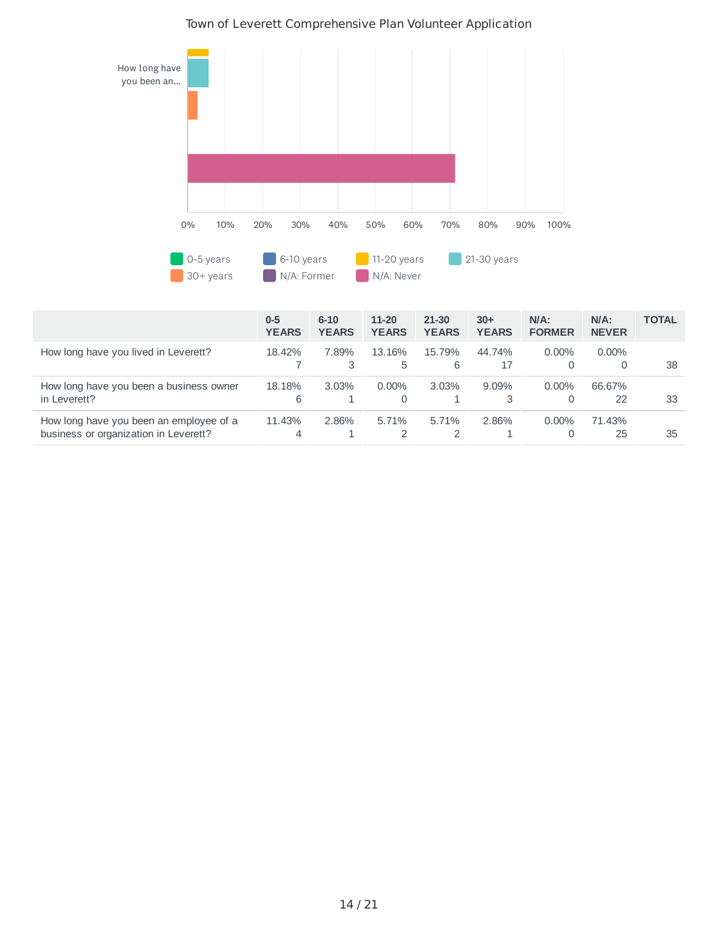

|                                                                                  | $0 - 5$<br><b>YEARS</b> | $6 - 10$<br><b>YEARS</b> | 11-20<br><b>YEARS</b> | 21-30<br><b>YEARS</b> | $30+$<br><b>YEARS</b> | $N/A$ :<br><b>FORMER</b> | $N/A$ :<br><b>NEVER</b> | <b>TOTAL</b> |
|----------------------------------------------------------------------------------|-------------------------|--------------------------|-----------------------|-----------------------|-----------------------|--------------------------|-------------------------|--------------|
| How long have you lived in Leverett?                                             | 18.42%                  | 7.89%<br>3               | 13.16%<br>5           | 15.79%<br>6           | 44.74%<br>17          | $0.00\%$<br>0            | $0.00\%$                | 38           |
| How long have you been a business owner<br>in Leverett?                          | 18.18%<br>6             | 3.03%                    | $0.00\%$<br>0         | $3.03\%$              | $9.09\%$<br>3         | $0.00\%$<br>0            | 66.67%<br>22            | 33           |
| How long have you been an employee of a<br>business or organization in Leverett? | 11.43%<br>4             | 2.86%                    | 5.71%                 | 5.71%                 | 2.86%                 | $0.00\%$<br>0            | 71.43%<br>25            | 35           |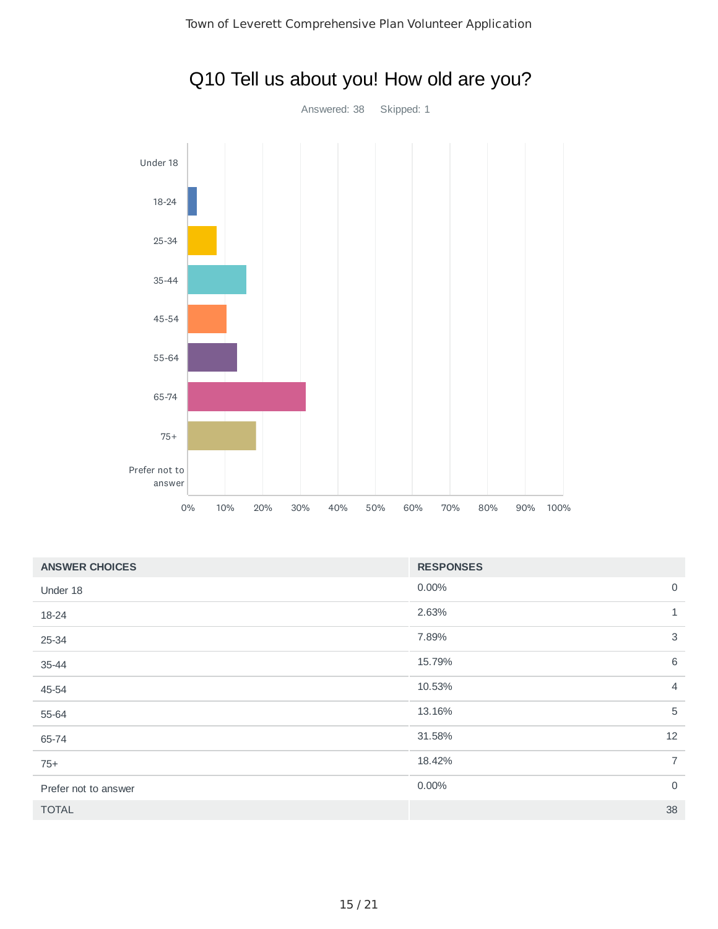

| <b>ANSWER CHOICES</b> | <b>RESPONSES</b> |                |
|-----------------------|------------------|----------------|
| Under 18              | 0.00%            | $\mathbf 0$    |
| 18-24                 | 2.63%            | $\mathbf{1}$   |
| 25-34                 | 7.89%            | 3              |
| 35-44                 | 15.79%           | 6              |
| 45-54                 | 10.53%           | 4              |
| 55-64                 | 13.16%           | 5              |
| 65-74                 | 31.58%           | 12             |
| $75+$                 | 18.42%           | $\overline{7}$ |
| Prefer not to answer  | 0.00%            | 0              |
| <b>TOTAL</b>          |                  | 38             |

# Q10 Tell us about you! How old are you?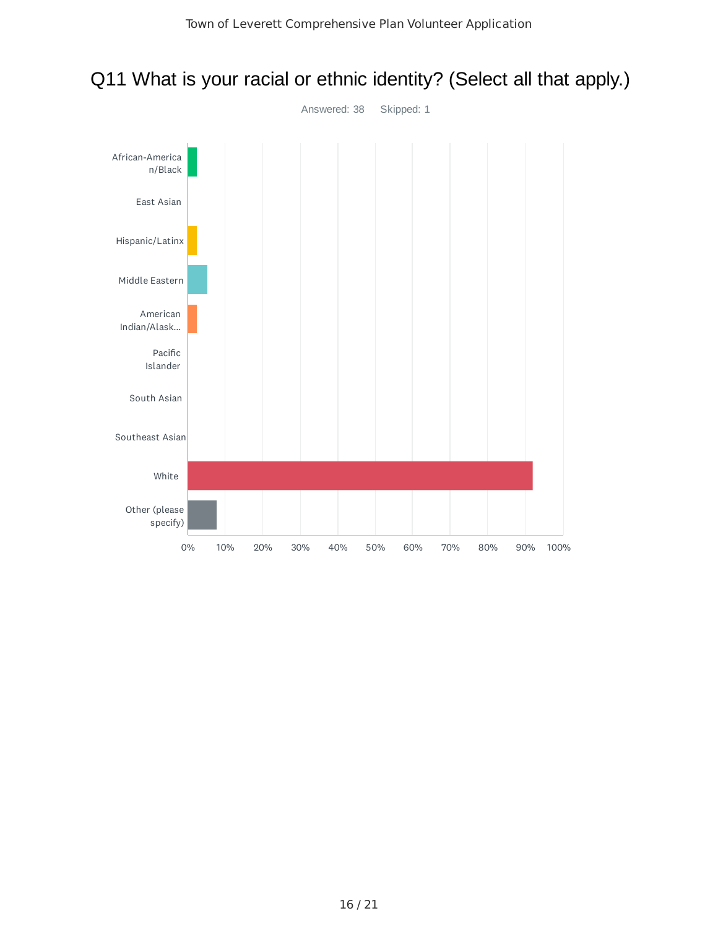

### Q11 What is your racial or ethnic identity? (Select all that apply.)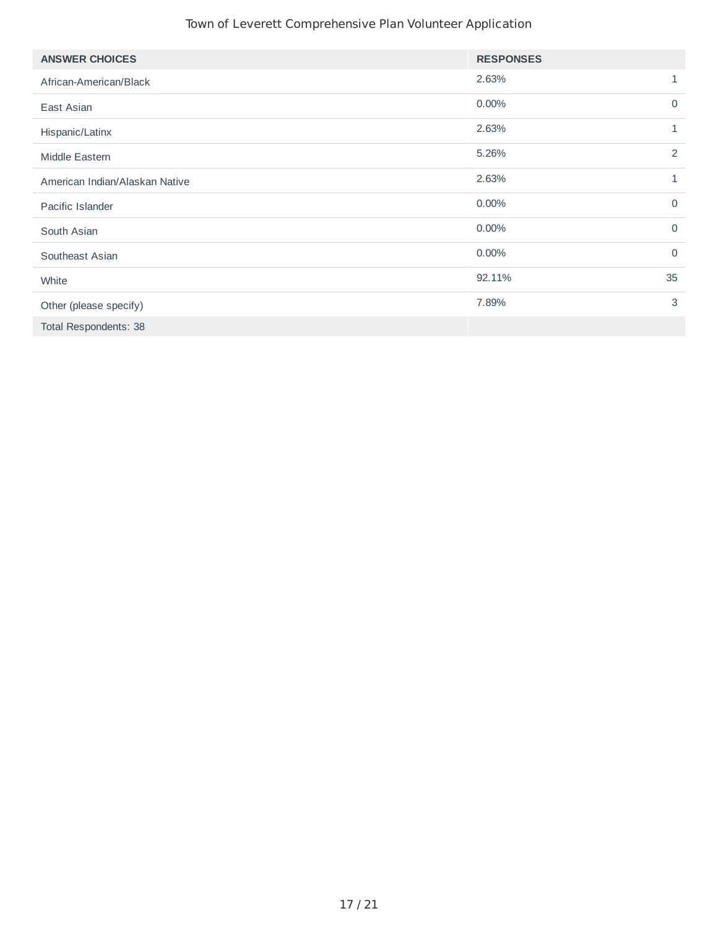| <b>ANSWER CHOICES</b>          | <b>RESPONSES</b> |              |
|--------------------------------|------------------|--------------|
| African-American/Black         | 2.63%            | 1            |
| East Asian                     | 0.00%            | $\mathbf 0$  |
| Hispanic/Latinx                | 2.63%            | $\mathbf{1}$ |
| Middle Eastern                 | 5.26%            | 2            |
| American Indian/Alaskan Native | 2.63%            | 1            |
| Pacific Islander               | 0.00%            | $\mathbf 0$  |
| South Asian                    | 0.00%            | $\mathbf 0$  |
| Southeast Asian                | 0.00%            | $\mathbf 0$  |
| White                          | 92.11%           | 35           |
| Other (please specify)         | 7.89%            | 3            |
| Total Respondents: 38          |                  |              |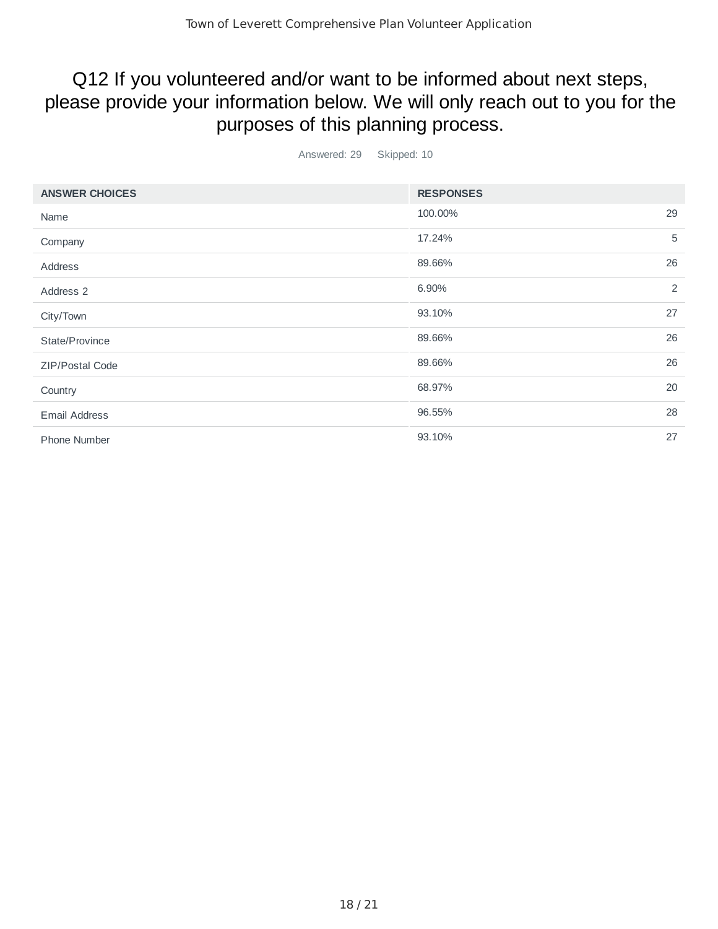## Q12 If you volunteered and/or want to be informed about next steps, please provide your information below. We will only reach out to you for the purposes of this planning process.

Answered: 29 Skipped: 10

| <b>ANSWER CHOICES</b> | <b>RESPONSES</b> |    |
|-----------------------|------------------|----|
| Name                  | 100.00%          | 29 |
| Company               | 17.24%           | 5  |
| Address               | 89.66%           | 26 |
| Address 2             | 6.90%            | 2  |
| City/Town             | 93.10%           | 27 |
| State/Province        | 89.66%           | 26 |
| ZIP/Postal Code       | 89.66%           | 26 |
| Country               | 68.97%           | 20 |
| <b>Email Address</b>  | 96.55%           | 28 |
| <b>Phone Number</b>   | 93.10%           | 27 |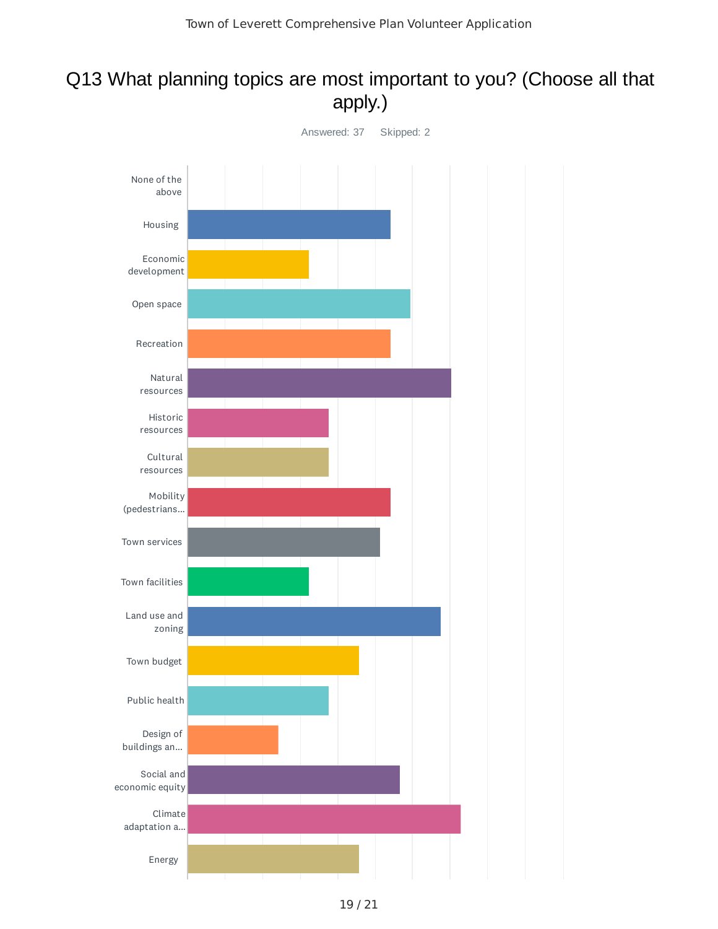## Q13 What planning topics are most important to you? (Choose all that apply.)

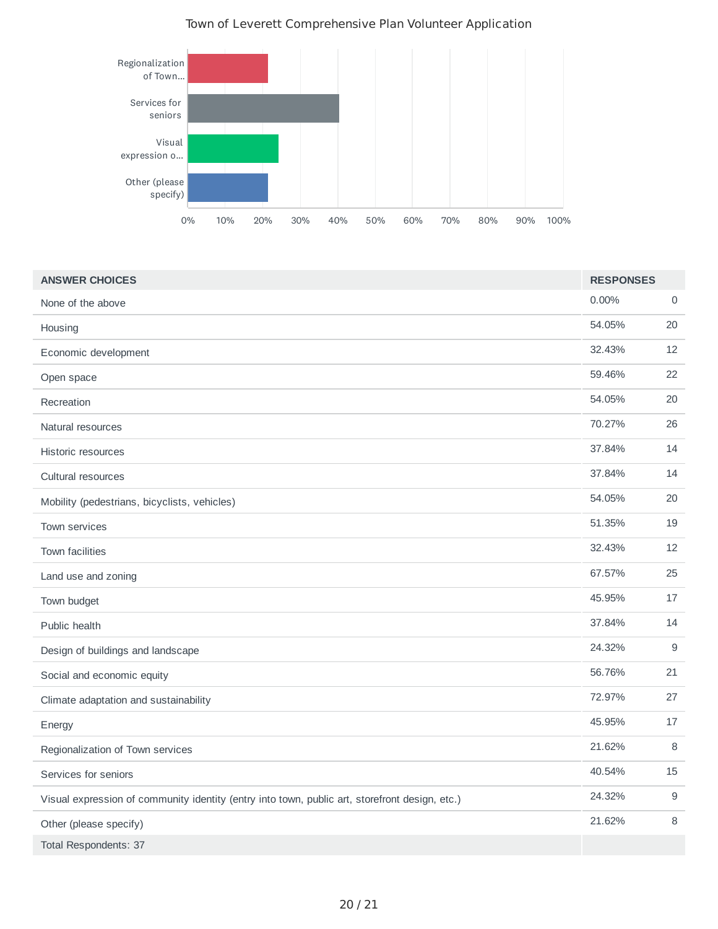

| <b>ANSWER CHOICES</b>                                                                          | <b>RESPONSES</b> |                     |
|------------------------------------------------------------------------------------------------|------------------|---------------------|
| None of the above                                                                              | 0.00%            | $\mathsf{O}\xspace$ |
| Housing                                                                                        | 54.05%           | 20                  |
| Economic development                                                                           | 32.43%           | 12                  |
| Open space                                                                                     | 59.46%           | 22                  |
| Recreation                                                                                     | 54.05%           | 20                  |
| Natural resources                                                                              | 70.27%           | 26                  |
| Historic resources                                                                             | 37.84%           | 14                  |
| Cultural resources                                                                             | 37.84%           | 14                  |
| Mobility (pedestrians, bicyclists, vehicles)                                                   | 54.05%           | 20                  |
| Town services                                                                                  | 51.35%           | 19                  |
| Town facilities                                                                                | 32.43%           | 12                  |
| Land use and zoning                                                                            | 67.57%           | 25                  |
| Town budget                                                                                    | 45.95%           | 17                  |
| Public health                                                                                  | 37.84%           | 14                  |
| Design of buildings and landscape                                                              | 24.32%           | $\mathsf 9$         |
| Social and economic equity                                                                     | 56.76%           | 21                  |
| Climate adaptation and sustainability                                                          | 72.97%           | 27                  |
| Energy                                                                                         | 45.95%           | 17                  |
| Regionalization of Town services                                                               | 21.62%           | 8                   |
| Services for seniors                                                                           | 40.54%           | 15                  |
| Visual expression of community identity (entry into town, public art, storefront design, etc.) | 24.32%           | $\mathsf 9$         |
| Other (please specify)                                                                         | 21.62%           | 8                   |
| <b>Total Respondents: 37</b>                                                                   |                  |                     |